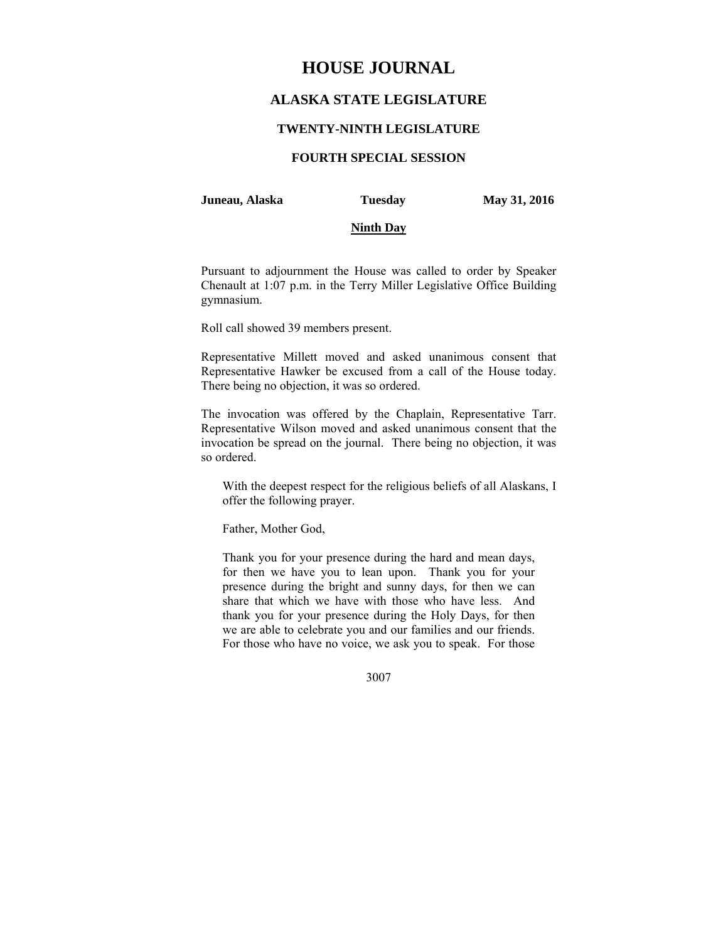# **HOUSE JOURNAL**

# **ALASKA STATE LEGISLATURE**

## **TWENTY-NINTH LEGISLATURE**

# **FOURTH SPECIAL SESSION**

#### **Juneau, Alaska Tuesday May 31, 2016**

#### **Ninth Day**

Pursuant to adjournment the House was called to order by Speaker Chenault at 1:07 p.m. in the Terry Miller Legislative Office Building gymnasium.

Roll call showed 39 members present.

Representative Millett moved and asked unanimous consent that Representative Hawker be excused from a call of the House today. There being no objection, it was so ordered.

The invocation was offered by the Chaplain, Representative Tarr. Representative Wilson moved and asked unanimous consent that the invocation be spread on the journal. There being no objection, it was so ordered.

With the deepest respect for the religious beliefs of all Alaskans, I offer the following prayer.

Father, Mother God,

Thank you for your presence during the hard and mean days, for then we have you to lean upon. Thank you for your presence during the bright and sunny days, for then we can share that which we have with those who have less. And thank you for your presence during the Holy Days, for then we are able to celebrate you and our families and our friends. For those who have no voice, we ask you to speak. For those

3007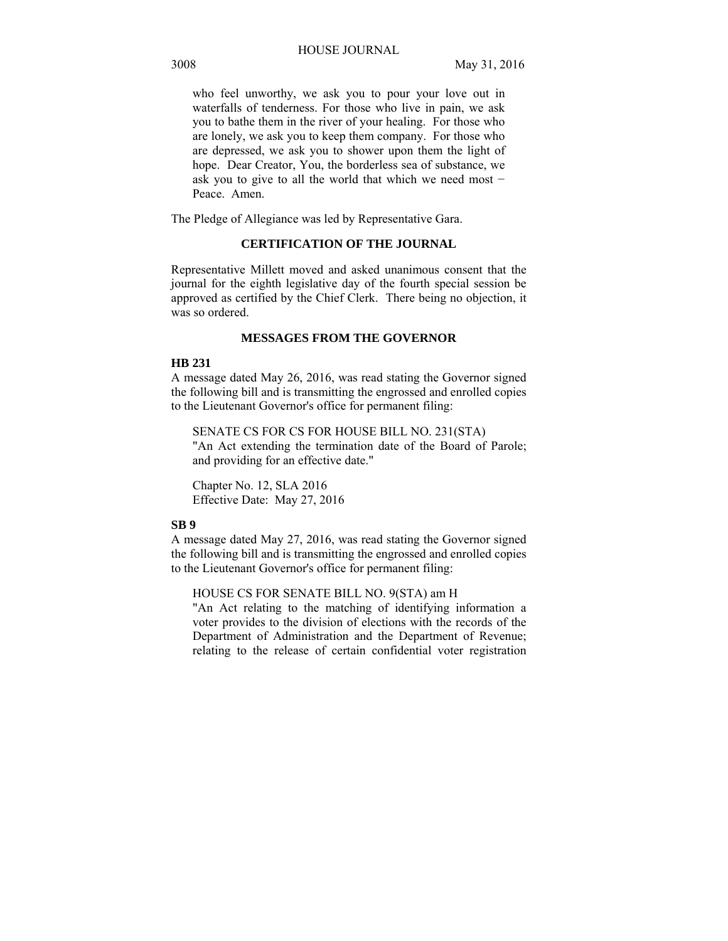who feel unworthy, we ask you to pour your love out in waterfalls of tenderness. For those who live in pain, we ask you to bathe them in the river of your healing. For those who are lonely, we ask you to keep them company. For those who are depressed, we ask you to shower upon them the light of hope. Dear Creator, You, the borderless sea of substance, we ask you to give to all the world that which we need most − Peace. Amen.

The Pledge of Allegiance was led by Representative Gara.

# **CERTIFICATION OF THE JOURNAL**

Representative Millett moved and asked unanimous consent that the journal for the eighth legislative day of the fourth special session be approved as certified by the Chief Clerk. There being no objection, it was so ordered.

## **MESSAGES FROM THE GOVERNOR**

#### **HB 231**

A message dated May 26, 2016, was read stating the Governor signed the following bill and is transmitting the engrossed and enrolled copies to the Lieutenant Governor's office for permanent filing:

SENATE CS FOR CS FOR HOUSE BILL NO. 231(STA) "An Act extending the termination date of the Board of Parole; and providing for an effective date."

Chapter No. 12, SLA 2016 Effective Date: May 27, 2016

#### **SB 9**

A message dated May 27, 2016, was read stating the Governor signed the following bill and is transmitting the engrossed and enrolled copies to the Lieutenant Governor's office for permanent filing:

HOUSE CS FOR SENATE BILL NO. 9(STA) am H

"An Act relating to the matching of identifying information a voter provides to the division of elections with the records of the Department of Administration and the Department of Revenue; relating to the release of certain confidential voter registration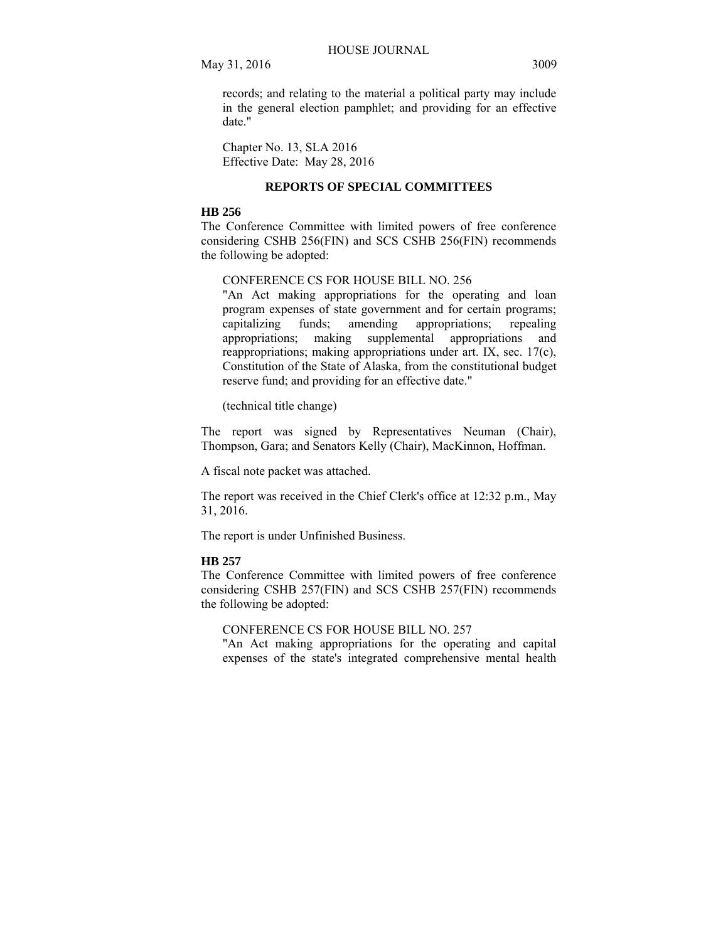records; and relating to the material a political party may include in the general election pamphlet; and providing for an effective date."

Chapter No. 13, SLA 2016 Effective Date: May 28, 2016

# **REPORTS OF SPECIAL COMMITTEES**

# **HB 256**

The Conference Committee with limited powers of free conference considering CSHB 256(FIN) and SCS CSHB 256(FIN) recommends the following be adopted:

CONFERENCE CS FOR HOUSE BILL NO. 256

"An Act making appropriations for the operating and loan program expenses of state government and for certain programs; capitalizing funds; amending appropriations; repealing appropriations; making supplemental appropriations and reappropriations; making appropriations under art. IX, sec. 17(c), Constitution of the State of Alaska, from the constitutional budget reserve fund; and providing for an effective date."

(technical title change)

The report was signed by Representatives Neuman (Chair), Thompson, Gara; and Senators Kelly (Chair), MacKinnon, Hoffman.

A fiscal note packet was attached.

The report was received in the Chief Clerk's office at 12:32 p.m., May 31, 2016.

The report is under Unfinished Business.

## **HB 257**

The Conference Committee with limited powers of free conference considering CSHB 257(FIN) and SCS CSHB 257(FIN) recommends the following be adopted:

CONFERENCE CS FOR HOUSE BILL NO. 257

"An Act making appropriations for the operating and capital expenses of the state's integrated comprehensive mental health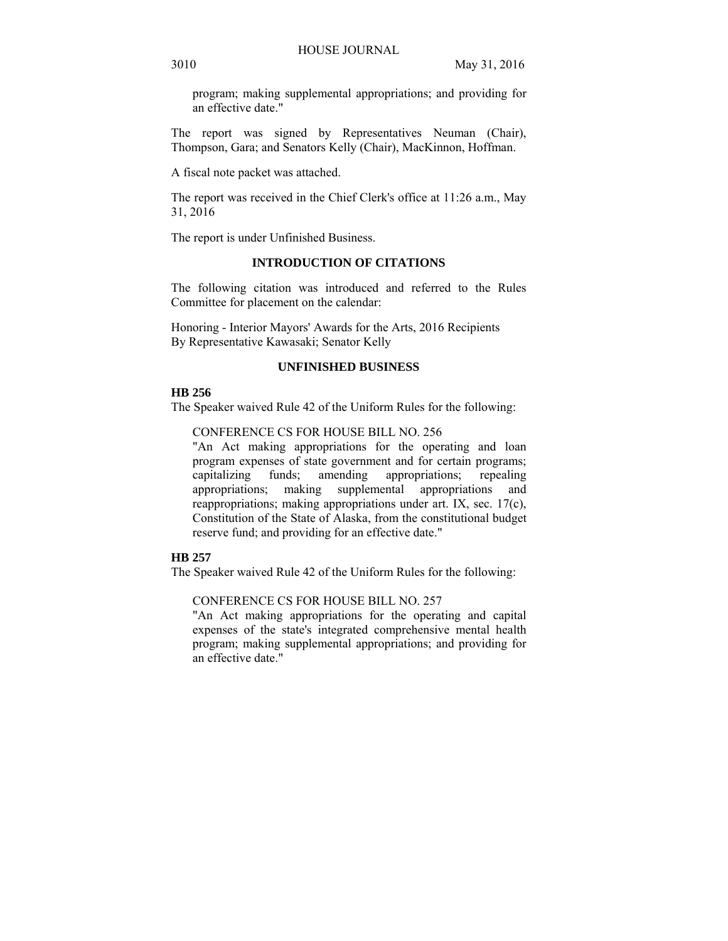program; making supplemental appropriations; and providing for an effective date."

The report was signed by Representatives Neuman (Chair), Thompson, Gara; and Senators Kelly (Chair), MacKinnon, Hoffman.

A fiscal note packet was attached.

The report was received in the Chief Clerk's office at 11:26 a.m., May 31, 2016

The report is under Unfinished Business.

# **INTRODUCTION OF CITATIONS**

The following citation was introduced and referred to the Rules Committee for placement on the calendar:

Honoring - Interior Mayors' Awards for the Arts, 2016 Recipients By Representative Kawasaki; Senator Kelly

# **UNFINISHED BUSINESS**

# **HB 256**

The Speaker waived Rule 42 of the Uniform Rules for the following:

CONFERENCE CS FOR HOUSE BILL NO. 256

"An Act making appropriations for the operating and loan program expenses of state government and for certain programs; capitalizing funds; amending appropriations; repealing appropriations; making supplemental appropriations and reappropriations; making appropriations under art. IX, sec. 17(c), Constitution of the State of Alaska, from the constitutional budget reserve fund; and providing for an effective date."

## **HB 257**

The Speaker waived Rule 42 of the Uniform Rules for the following:

# CONFERENCE CS FOR HOUSE BILL NO. 257

"An Act making appropriations for the operating and capital expenses of the state's integrated comprehensive mental health program; making supplemental appropriations; and providing for an effective date."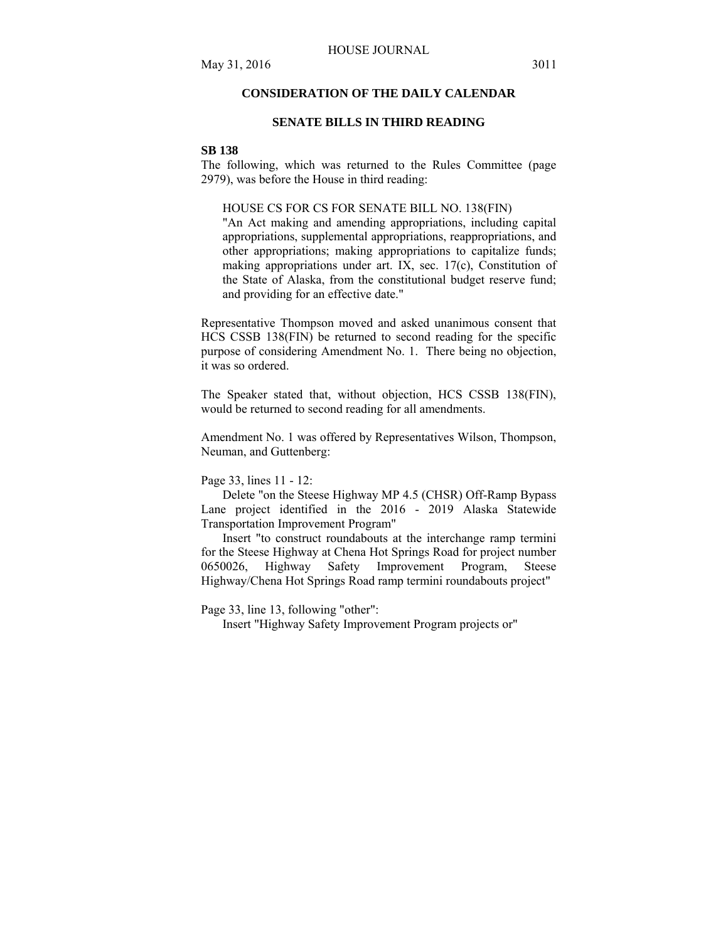# **CONSIDERATION OF THE DAILY CALENDAR**

## **SENATE BILLS IN THIRD READING**

#### **SB 138**

The following, which was returned to the Rules Committee (page 2979), was before the House in third reading:

#### HOUSE CS FOR CS FOR SENATE BILL NO. 138(FIN)

"An Act making and amending appropriations, including capital appropriations, supplemental appropriations, reappropriations, and other appropriations; making appropriations to capitalize funds; making appropriations under art. IX, sec. 17(c), Constitution of the State of Alaska, from the constitutional budget reserve fund; and providing for an effective date."

Representative Thompson moved and asked unanimous consent that HCS CSSB 138(FIN) be returned to second reading for the specific purpose of considering Amendment No. 1. There being no objection, it was so ordered.

The Speaker stated that, without objection, HCS CSSB 138(FIN), would be returned to second reading for all amendments.

Amendment No. 1 was offered by Representatives Wilson, Thompson, Neuman, and Guttenberg:

Page 33, lines 11 - 12:

Delete "on the Steese Highway MP 4.5 (CHSR) Off-Ramp Bypass Lane project identified in the 2016 - 2019 Alaska Statewide Transportation Improvement Program"

Insert "to construct roundabouts at the interchange ramp termini for the Steese Highway at Chena Hot Springs Road for project number 0650026. Highway Safety Improvement Program. Steese 0650026, Highway Safety Improvement Program, Highway/Chena Hot Springs Road ramp termini roundabouts project"

Page 33, line 13, following "other":

Insert "Highway Safety Improvement Program projects or"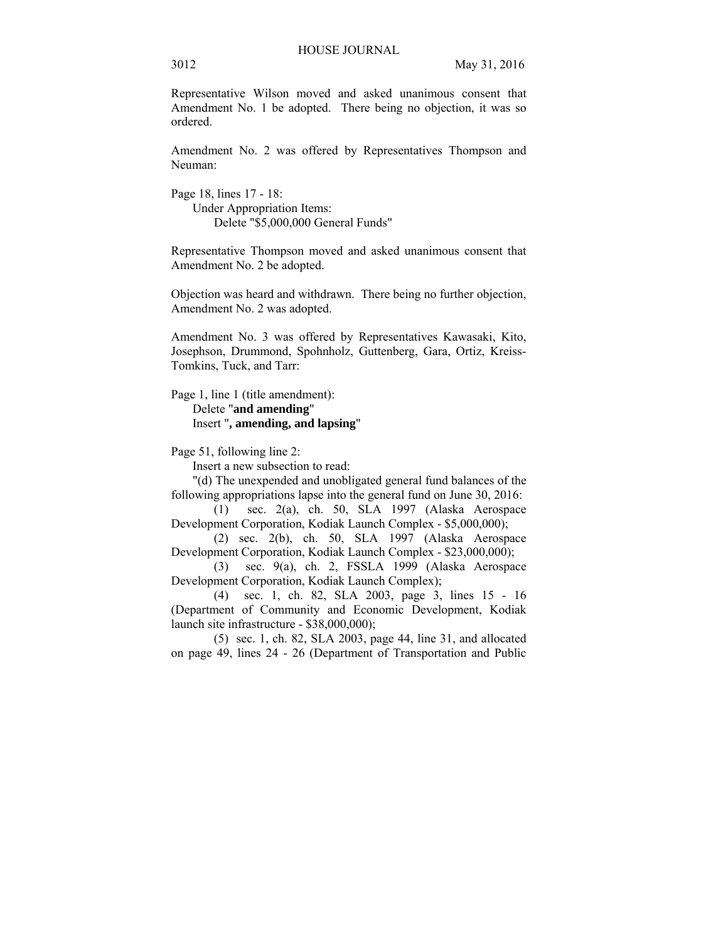Representative Wilson moved and asked unanimous consent that Amendment No. 1 be adopted. There being no objection, it was so ordered.

Amendment No. 2 was offered by Representatives Thompson and Neuman:

Page 18, lines 17 - 18: Under Appropriation Items: Delete "\$5,000,000 General Funds"

Representative Thompson moved and asked unanimous consent that Amendment No. 2 be adopted.

Objection was heard and withdrawn. There being no further objection, Amendment No. 2 was adopted.

Amendment No. 3 was offered by Representatives Kawasaki, Kito, Josephson, Drummond, Spohnholz, Guttenberg, Gara, Ortiz, Kreiss-Tomkins, Tuck, and Tarr:

Page 1, line 1 (title amendment):

Delete "**and amending**" Insert "**, amending, and lapsing**"

Page 51, following line 2:

Insert a new subsection to read:

"(d) The unexpended and unobligated general fund balances of the following appropriations lapse into the general fund on June 30, 2016:

(1) sec. 2(a), ch. 50, SLA 1997 (Alaska Aerospace Development Corporation, Kodiak Launch Complex - \$5,000,000);

(2) sec. 2(b), ch. 50, SLA 1997 (Alaska Aerospace Development Corporation, Kodiak Launch Complex - \$23,000,000);

(3) sec. 9(a), ch. 2, FSSLA 1999 (Alaska Aerospace Development Corporation, Kodiak Launch Complex);

(4) sec. 1, ch. 82, SLA 2003, page 3, lines 15 - 16 (Department of Community and Economic Development, Kodiak launch site infrastructure - \$38,000,000);

(5) sec. 1, ch. 82, SLA 2003, page 44, line 31, and allocated on page 49, lines 24 - 26 (Department of Transportation and Public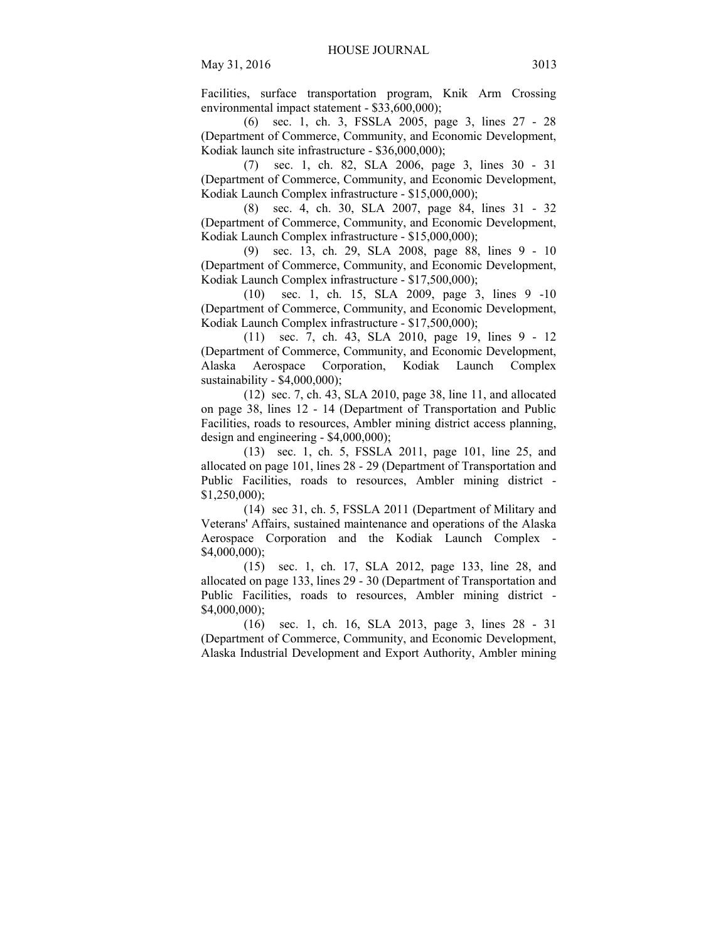Facilities, surface transportation program, Knik Arm Crossing environmental impact statement - \$33,600,000);

(6) sec. 1, ch. 3, FSSLA 2005, page 3, lines 27 - 28 (Department of Commerce, Community, and Economic Development, Kodiak launch site infrastructure - \$36,000,000);

(7) sec. 1, ch. 82, SLA 2006, page 3, lines 30 - 31 (Department of Commerce, Community, and Economic Development, Kodiak Launch Complex infrastructure - \$15,000,000);

(8) sec. 4, ch. 30, SLA 2007, page 84, lines 31 - 32 (Department of Commerce, Community, and Economic Development, Kodiak Launch Complex infrastructure - \$15,000,000);

(9) sec. 13, ch. 29, SLA 2008, page 88, lines 9 - 10 (Department of Commerce, Community, and Economic Development, Kodiak Launch Complex infrastructure - \$17,500,000);

(10) sec. 1, ch. 15, SLA 2009, page 3, lines 9 -10 (Department of Commerce, Community, and Economic Development, Kodiak Launch Complex infrastructure - \$17,500,000);

(11) sec. 7, ch. 43, SLA 2010, page 19, lines 9 - 12 (Department of Commerce, Community, and Economic Development, Alaska Aerospace Corporation, Kodiak Launch Complex sustainability - \$4,000,000);

(12) sec. 7, ch. 43, SLA 2010, page 38, line 11, and allocated on page 38, lines 12 - 14 (Department of Transportation and Public Facilities, roads to resources, Ambler mining district access planning, design and engineering - \$4,000,000);

(13) sec. 1, ch. 5, FSSLA 2011, page 101, line 25, and allocated on page 101, lines 28 - 29 (Department of Transportation and Public Facilities, roads to resources, Ambler mining district - \$1,250,000);

(14) sec 31, ch. 5, FSSLA 2011 (Department of Military and Veterans' Affairs, sustained maintenance and operations of the Alaska Aerospace Corporation and the Kodiak Launch Complex - \$4,000,000);

(15) sec. 1, ch. 17, SLA 2012, page 133, line 28, and allocated on page 133, lines 29 - 30 (Department of Transportation and Public Facilities, roads to resources, Ambler mining district - \$4,000,000);

(16) sec. 1, ch. 16, SLA 2013, page 3, lines 28 - 31 (Department of Commerce, Community, and Economic Development, Alaska Industrial Development and Export Authority, Ambler mining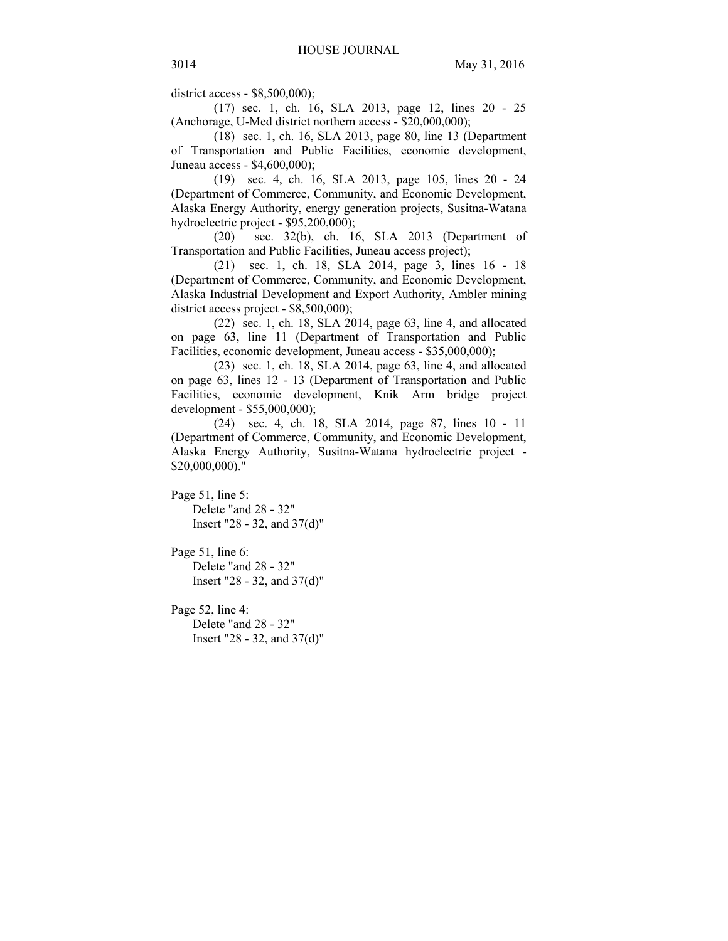district access - \$8,500,000);

(17) sec. 1, ch. 16, SLA 2013, page 12, lines 20 - 25 (Anchorage, U-Med district northern access - \$20,000,000);

(18) sec. 1, ch. 16, SLA 2013, page 80, line 13 (Department of Transportation and Public Facilities, economic development, Juneau access - \$4,600,000);

(19) sec. 4, ch. 16, SLA 2013, page 105, lines 20 - 24 (Department of Commerce, Community, and Economic Development, Alaska Energy Authority, energy generation projects, Susitna-Watana hydroelectric project - \$95,200,000);

(20) sec. 32(b), ch. 16, SLA 2013 (Department of Transportation and Public Facilities, Juneau access project);

(21) sec. 1, ch. 18, SLA 2014, page 3, lines 16 - 18 (Department of Commerce, Community, and Economic Development, Alaska Industrial Development and Export Authority, Ambler mining district access project - \$8,500,000);

(22) sec. 1, ch. 18, SLA 2014, page 63, line 4, and allocated on page 63, line 11 (Department of Transportation and Public Facilities, economic development, Juneau access - \$35,000,000);

(23) sec. 1, ch. 18, SLA 2014, page 63, line 4, and allocated on page 63, lines 12 - 13 (Department of Transportation and Public Facilities, economic development, Knik Arm bridge project development - \$55,000,000);

(24) sec. 4, ch. 18, SLA 2014, page 87, lines 10 - 11 (Department of Commerce, Community, and Economic Development, Alaska Energy Authority, Susitna-Watana hydroelectric project - \$20,000,000)."

Page 51, line 5: Delete "and 28 - 32" Insert "28 - 32, and 37(d)"

Page 51, line 6: Delete "and 28 - 32" Insert "28 - 32, and 37(d)"

Page 52, line 4: Delete "and 28 - 32" Insert "28 - 32, and 37(d)"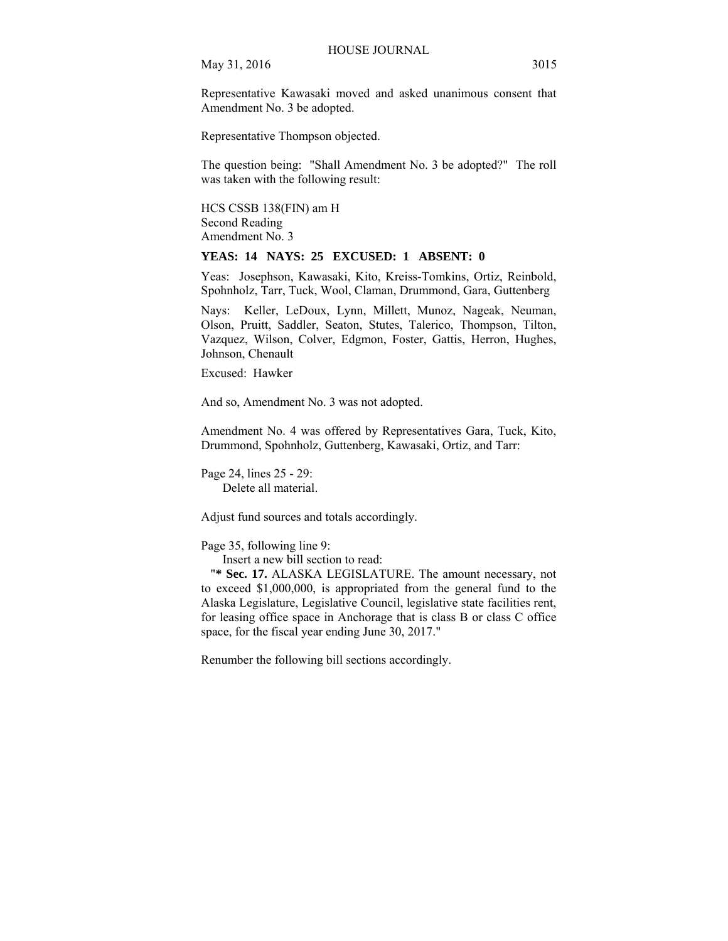Representative Kawasaki moved and asked unanimous consent that Amendment No. 3 be adopted.

Representative Thompson objected.

The question being: "Shall Amendment No. 3 be adopted?" The roll was taken with the following result:

HCS CSSB 138(FIN) am H Second Reading Amendment No. 3

#### **YEAS: 14 NAYS: 25 EXCUSED: 1 ABSENT: 0**

Yeas: Josephson, Kawasaki, Kito, Kreiss-Tomkins, Ortiz, Reinbold, Spohnholz, Tarr, Tuck, Wool, Claman, Drummond, Gara, Guttenberg

Nays: Keller, LeDoux, Lynn, Millett, Munoz, Nageak, Neuman, Olson, Pruitt, Saddler, Seaton, Stutes, Talerico, Thompson, Tilton, Vazquez, Wilson, Colver, Edgmon, Foster, Gattis, Herron, Hughes, Johnson, Chenault

Excused: Hawker

And so, Amendment No. 3 was not adopted.

Amendment No. 4 was offered by Representatives Gara, Tuck, Kito, Drummond, Spohnholz, Guttenberg, Kawasaki, Ortiz, and Tarr:

Page 24, lines 25 - 29: Delete all material.

Adjust fund sources and totals accordingly.

Page 35, following line 9:

Insert a new bill section to read:

"**\* Sec. 17.** ALASKA LEGISLATURE. The amount necessary, not to exceed \$1,000,000, is appropriated from the general fund to the Alaska Legislature, Legislative Council, legislative state facilities rent, for leasing office space in Anchorage that is class B or class C office space, for the fiscal year ending June 30, 2017."

Renumber the following bill sections accordingly.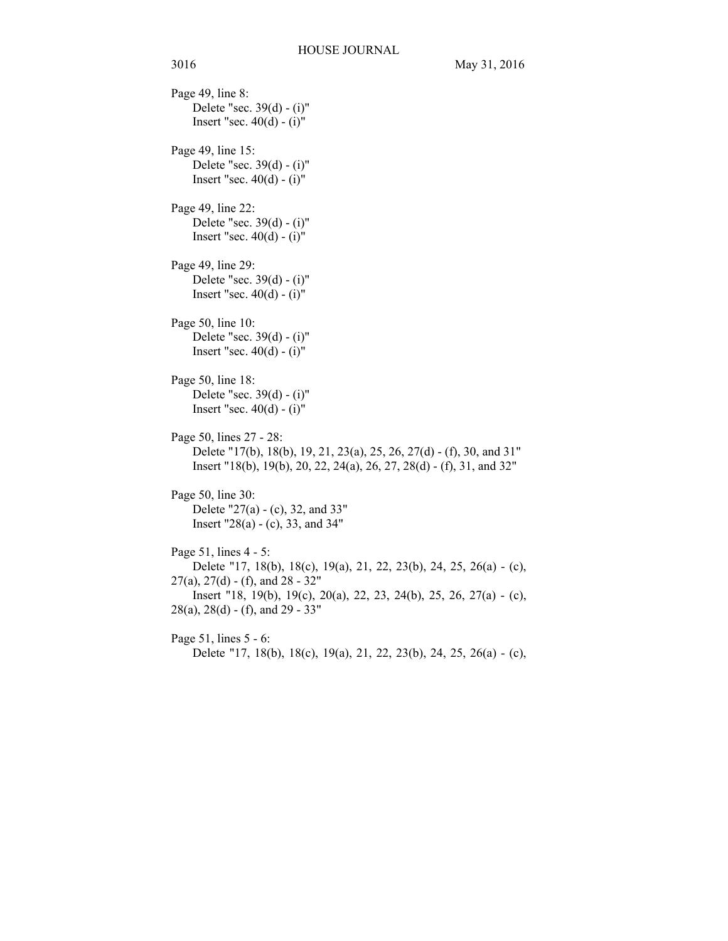Page 49, line 8: Delete "sec. 39(d) - (i)" Insert "sec.  $40(d) - (i)$ " Page 49, line 15: Delete "sec. 39(d) - (i)" Insert "sec.  $40(d) - (i)$ " Page 49, line 22: Delete "sec. 39(d) - (i)" Insert "sec.  $40(d) - (i)$ " Page 49, line 29: Delete "sec. 39(d) - (i)" Insert "sec.  $40(d) - (i)$ " Page 50, line 10: Delete "sec. 39(d) - (i)" Insert "sec.  $40(d) - (i)$ " Page 50, line 18: Delete "sec. 39(d) - (i)" Insert "sec.  $40(d) - (i)$ " Page 50, lines 27 - 28: Delete "17(b), 18(b), 19, 21, 23(a), 25, 26, 27(d) - (f), 30, and 31" Insert "18(b), 19(b), 20, 22, 24(a), 26, 27, 28(d) - (f), 31, and 32" Page 50, line 30: Delete "27(a) - (c), 32, and 33" Insert  $"28(a) - (c)$ , 33, and 34" Page 51, lines 4 - 5: Delete "17, 18(b), 18(c), 19(a), 21, 22, 23(b), 24, 25, 26(a) - (c),  $27(a)$ ,  $27(d)$  - (f), and  $28 - 32"$ Insert "18, 19(b), 19(c), 20(a), 22, 23, 24(b), 25, 26, 27(a) - (c),  $28(a)$ ,  $28(d)$  - (f), and  $29 - 33"$ Page 51, lines 5 - 6: Delete "17, 18(b), 18(c), 19(a), 21, 22, 23(b), 24, 25, 26(a) - (c),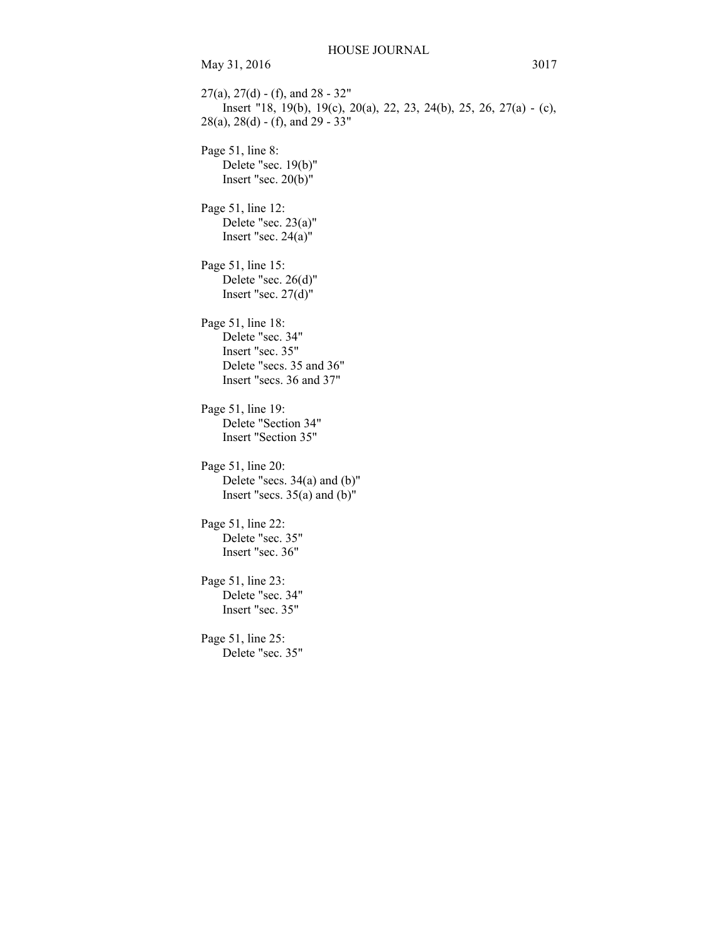$27(a)$ ,  $27(d)$  - (f), and  $28 - 32$ " Insert "18, 19(b), 19(c), 20(a), 22, 23, 24(b), 25, 26, 27(a) - (c), 28(a), 28(d) - (f), and 29 - 33" Page 51, line 8: Delete "sec. 19(b)" Insert "sec. 20(b)" Page 51, line 12: Delete "sec. 23(a)" Insert "sec. 24(a)" Page 51, line 15: Delete "sec. 26(d)" Insert "sec. 27(d)" Page 51, line 18: Delete "sec. 34" Insert "sec. 35" Delete "secs. 35 and 36" Insert "secs. 36 and 37" Page 51, line 19: Delete "Section 34" Insert "Section 35" Page 51, line 20: Delete "secs. 34(a) and (b)" Insert "secs.  $35(a)$  and  $(b)$ " Page 51, line 22: Delete "sec. 35" Insert "sec. 36" Page 51, line 23: Delete "sec. 34" Insert "sec. 35" Page 51, line 25: Delete "sec. 35"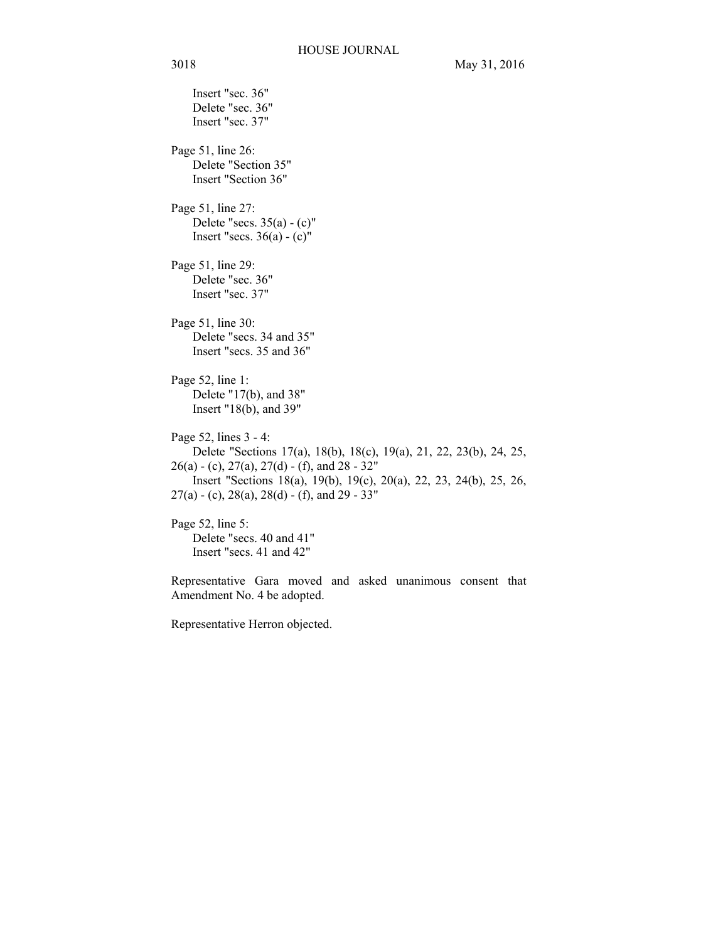Insert "sec. 36" Delete "sec. 36" Insert "sec. 37" Page 51, line 26: Delete "Section 35" Insert "Section 36" Page 51, line 27: Delete "secs.  $35(a) - (c)$ " Insert "secs.  $36(a) - (c)$ " Page 51, line 29: Delete "sec. 36" Insert "sec. 37" Page 51, line 30: Delete "secs. 34 and 35" Insert "secs. 35 and 36" Page 52, line 1: Delete "17(b), and 38" Insert "18(b), and 39" Page 52, lines 3 - 4: Delete "Sections 17(a), 18(b), 18(c), 19(a), 21, 22, 23(b), 24, 25,  $26(a) - (c), 27(a), 27(d) - (f),$  and  $28 - 32$ " Insert "Sections 18(a), 19(b), 19(c), 20(a), 22, 23, 24(b), 25, 26,  $27(a) - (c)$ ,  $28(a)$ ,  $28(d) - (f)$ , and  $29 - 33"$ Page 52, line 5: Delete "secs. 40 and 41" Insert "secs. 41 and 42"

Representative Gara moved and asked unanimous consent that Amendment No. 4 be adopted.

Representative Herron objected.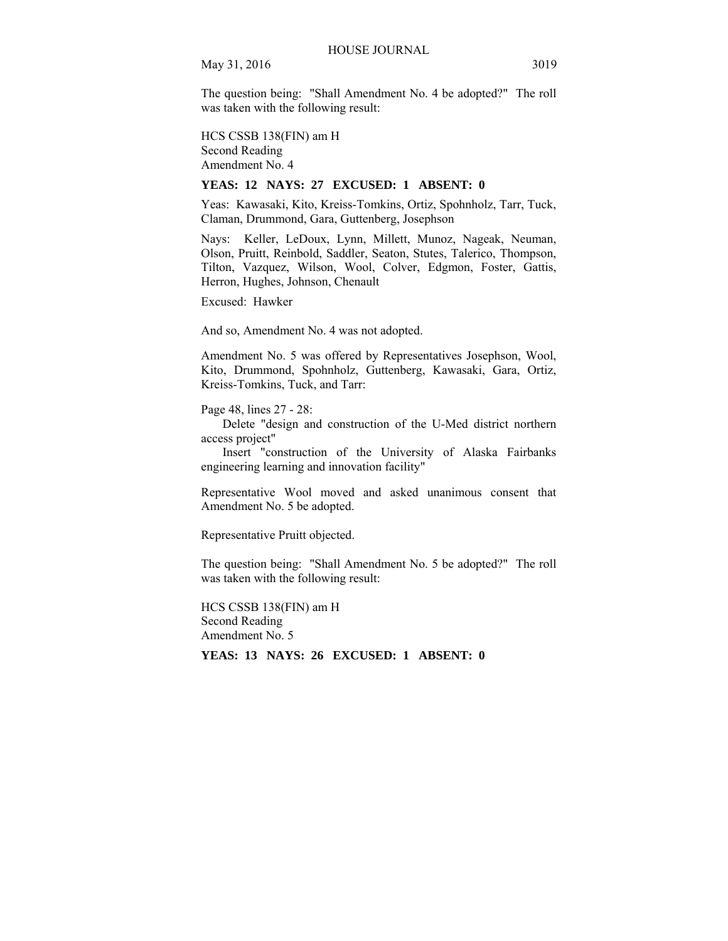The question being: "Shall Amendment No. 4 be adopted?" The roll was taken with the following result:

HCS CSSB 138(FIN) am H Second Reading Amendment No. 4

#### **YEAS: 12 NAYS: 27 EXCUSED: 1 ABSENT: 0**

Yeas: Kawasaki, Kito, Kreiss-Tomkins, Ortiz, Spohnholz, Tarr, Tuck, Claman, Drummond, Gara, Guttenberg, Josephson

Nays: Keller, LeDoux, Lynn, Millett, Munoz, Nageak, Neuman, Olson, Pruitt, Reinbold, Saddler, Seaton, Stutes, Talerico, Thompson, Tilton, Vazquez, Wilson, Wool, Colver, Edgmon, Foster, Gattis, Herron, Hughes, Johnson, Chenault

Excused: Hawker

And so, Amendment No. 4 was not adopted.

Amendment No. 5 was offered by Representatives Josephson, Wool, Kito, Drummond, Spohnholz, Guttenberg, Kawasaki, Gara, Ortiz, Kreiss-Tomkins, Tuck, and Tarr:

Page 48, lines 27 - 28:

Delete "design and construction of the U-Med district northern access project"

Insert "construction of the University of Alaska Fairbanks engineering learning and innovation facility"

Representative Wool moved and asked unanimous consent that Amendment No. 5 be adopted.

Representative Pruitt objected.

The question being: "Shall Amendment No. 5 be adopted?" The roll was taken with the following result:

HCS CSSB 138(FIN) am H Second Reading Amendment No. 5

**YEAS: 13 NAYS: 26 EXCUSED: 1 ABSENT: 0**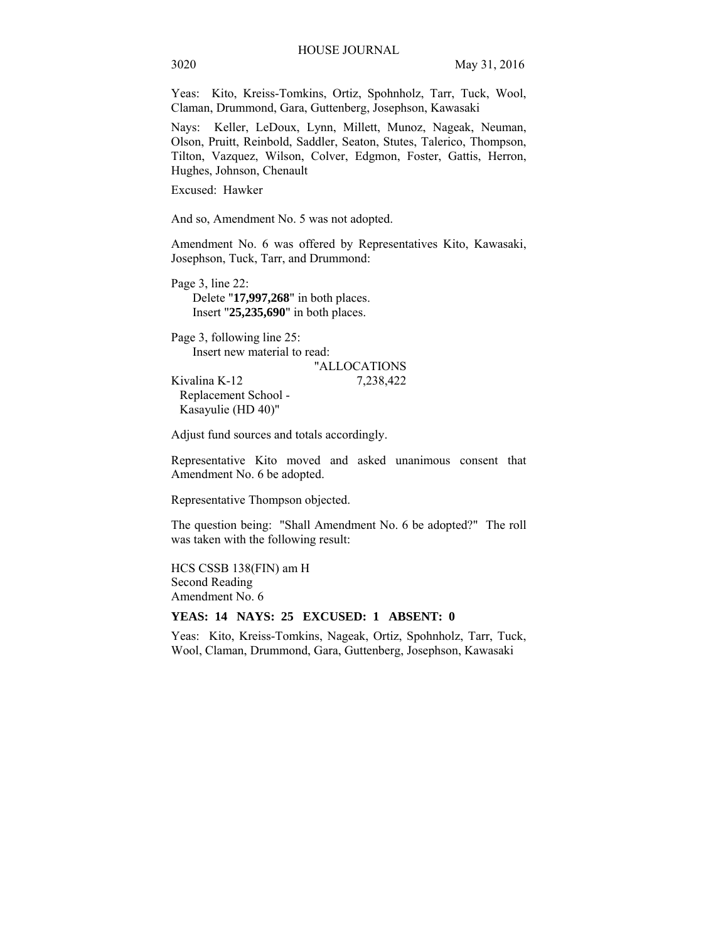Yeas: Kito, Kreiss-Tomkins, Ortiz, Spohnholz, Tarr, Tuck, Wool, Claman, Drummond, Gara, Guttenberg, Josephson, Kawasaki

Nays: Keller, LeDoux, Lynn, Millett, Munoz, Nageak, Neuman, Olson, Pruitt, Reinbold, Saddler, Seaton, Stutes, Talerico, Thompson, Tilton, Vazquez, Wilson, Colver, Edgmon, Foster, Gattis, Herron, Hughes, Johnson, Chenault

Excused: Hawker

And so, Amendment No. 5 was not adopted.

Amendment No. 6 was offered by Representatives Kito, Kawasaki, Josephson, Tuck, Tarr, and Drummond:

Page 3, line 22: Delete "**17,997,268**" in both places. Insert "**25,235,690**" in both places.

Page 3, following line 25: Insert new material to read: "ALLOCATIONS

Kivalina K-12 7,238,422 Replacement School - Kasayulie (HD 40)"

Adjust fund sources and totals accordingly.

Representative Kito moved and asked unanimous consent that Amendment No. 6 be adopted.

Representative Thompson objected.

The question being: "Shall Amendment No. 6 be adopted?" The roll was taken with the following result:

HCS CSSB 138(FIN) am H Second Reading Amendment No. 6

# **YEAS: 14 NAYS: 25 EXCUSED: 1 ABSENT: 0**

Yeas: Kito, Kreiss-Tomkins, Nageak, Ortiz, Spohnholz, Tarr, Tuck, Wool, Claman, Drummond, Gara, Guttenberg, Josephson, Kawasaki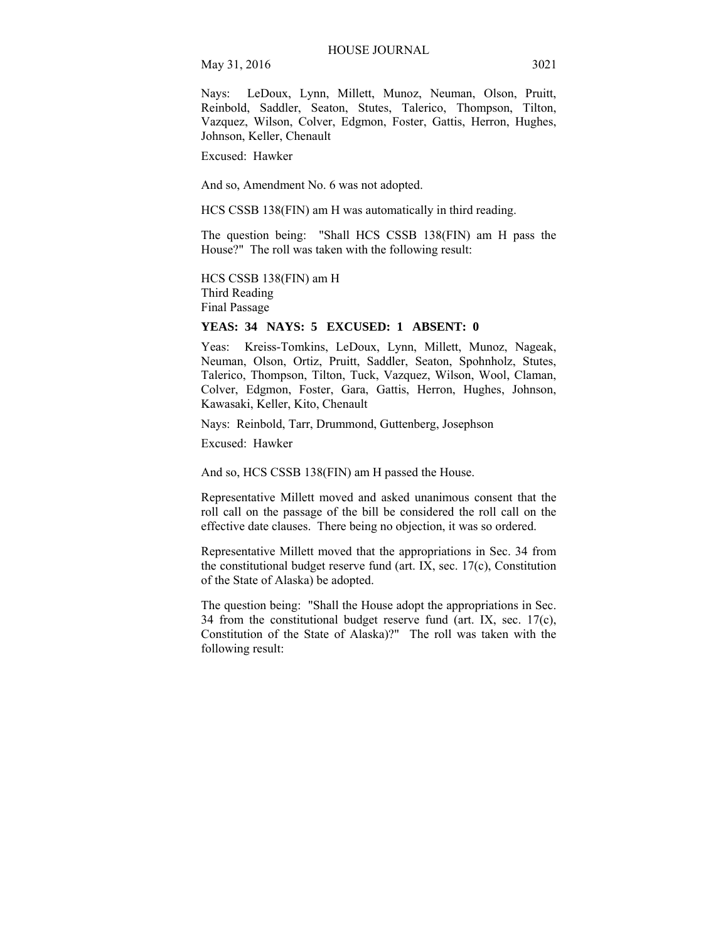Nays: LeDoux, Lynn, Millett, Munoz, Neuman, Olson, Pruitt, Reinbold, Saddler, Seaton, Stutes, Talerico, Thompson, Tilton, Vazquez, Wilson, Colver, Edgmon, Foster, Gattis, Herron, Hughes, Johnson, Keller, Chenault

Excused: Hawker

And so, Amendment No. 6 was not adopted.

HCS CSSB 138(FIN) am H was automatically in third reading.

The question being: "Shall HCS CSSB 138(FIN) am H pass the House?" The roll was taken with the following result:

HCS CSSB 138(FIN) am H Third Reading Final Passage

# **YEAS: 34 NAYS: 5 EXCUSED: 1 ABSENT: 0**

Yeas: Kreiss-Tomkins, LeDoux, Lynn, Millett, Munoz, Nageak, Neuman, Olson, Ortiz, Pruitt, Saddler, Seaton, Spohnholz, Stutes, Talerico, Thompson, Tilton, Tuck, Vazquez, Wilson, Wool, Claman, Colver, Edgmon, Foster, Gara, Gattis, Herron, Hughes, Johnson, Kawasaki, Keller, Kito, Chenault

Nays: Reinbold, Tarr, Drummond, Guttenberg, Josephson

Excused: Hawker

And so, HCS CSSB 138(FIN) am H passed the House.

Representative Millett moved and asked unanimous consent that the roll call on the passage of the bill be considered the roll call on the effective date clauses. There being no objection, it was so ordered.

Representative Millett moved that the appropriations in Sec. 34 from the constitutional budget reserve fund (art. IX, sec. 17(c), Constitution of the State of Alaska) be adopted.

The question being: "Shall the House adopt the appropriations in Sec. 34 from the constitutional budget reserve fund (art. IX, sec. 17(c), Constitution of the State of Alaska)?" The roll was taken with the following result: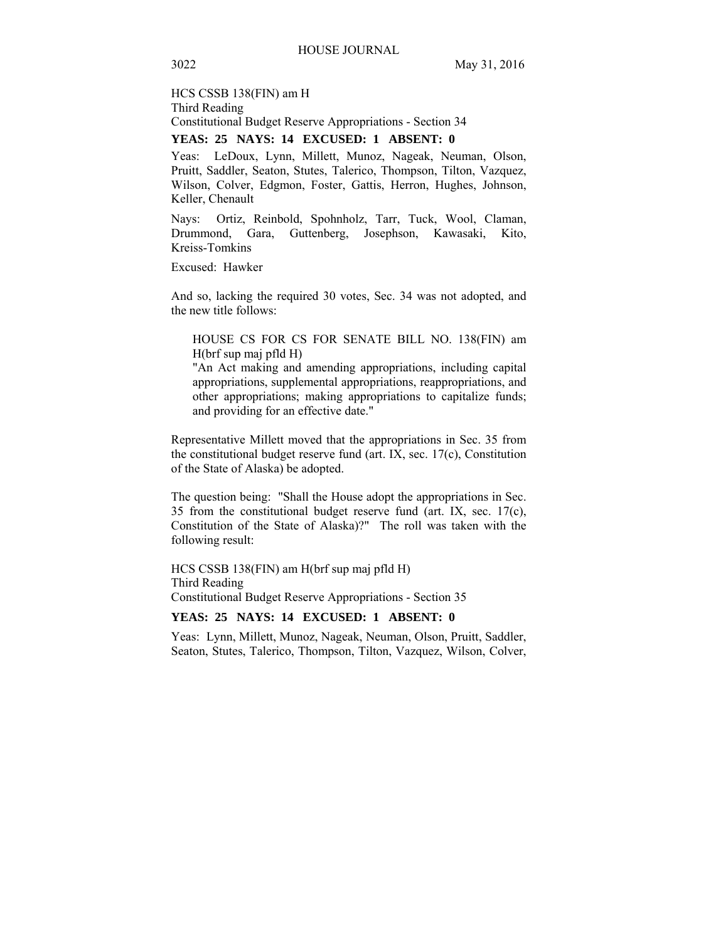HCS CSSB 138(FIN) am H Third Reading Constitutional Budget Reserve Appropriations - Section 34

# **YEAS: 25 NAYS: 14 EXCUSED: 1 ABSENT: 0**

Yeas: LeDoux, Lynn, Millett, Munoz, Nageak, Neuman, Olson, Pruitt, Saddler, Seaton, Stutes, Talerico, Thompson, Tilton, Vazquez, Wilson, Colver, Edgmon, Foster, Gattis, Herron, Hughes, Johnson, Keller, Chenault

Nays: Ortiz, Reinbold, Spohnholz, Tarr, Tuck, Wool, Claman, Drummond, Gara, Guttenberg, Josephson, Kawasaki, Kito, Kreiss-Tomkins

Excused: Hawker

And so, lacking the required 30 votes, Sec. 34 was not adopted, and the new title follows:

HOUSE CS FOR CS FOR SENATE BILL NO. 138(FIN) am H(brf sup maj pfld H)

"An Act making and amending appropriations, including capital appropriations, supplemental appropriations, reappropriations, and other appropriations; making appropriations to capitalize funds; and providing for an effective date."

Representative Millett moved that the appropriations in Sec. 35 from the constitutional budget reserve fund (art. IX, sec. 17(c), Constitution of the State of Alaska) be adopted.

The question being: "Shall the House adopt the appropriations in Sec. 35 from the constitutional budget reserve fund (art. IX, sec. 17(c), Constitution of the State of Alaska)?" The roll was taken with the following result:

HCS CSSB 138(FIN) am H(brf sup maj pfld H) Third Reading Constitutional Budget Reserve Appropriations - Section 35

# **YEAS: 25 NAYS: 14 EXCUSED: 1 ABSENT: 0**

Yeas: Lynn, Millett, Munoz, Nageak, Neuman, Olson, Pruitt, Saddler, Seaton, Stutes, Talerico, Thompson, Tilton, Vazquez, Wilson, Colver,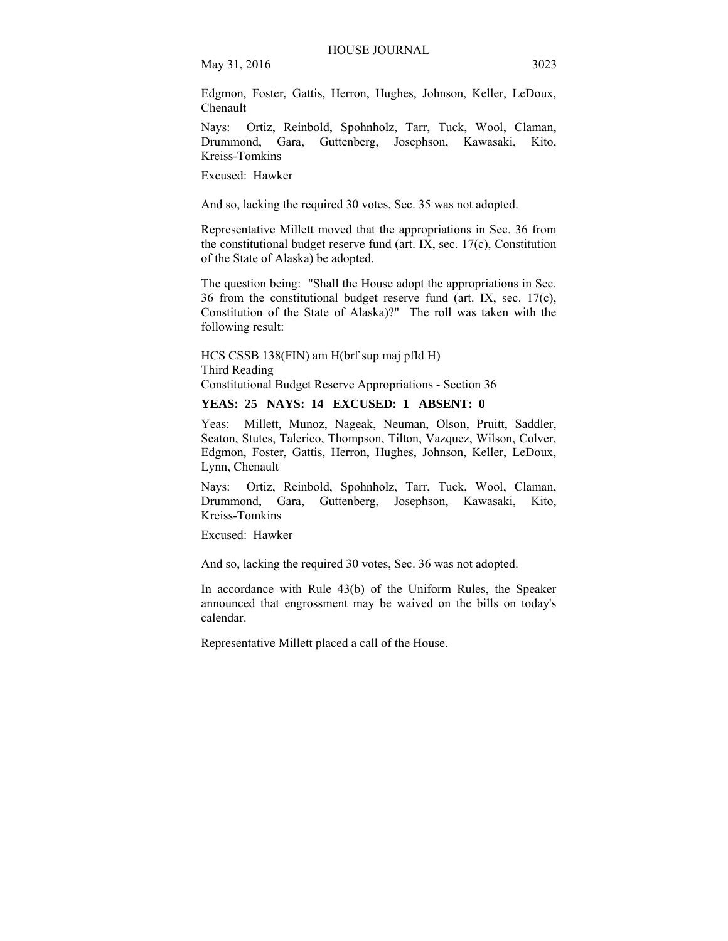Edgmon, Foster, Gattis, Herron, Hughes, Johnson, Keller, LeDoux, Chenault

Nays: Ortiz, Reinbold, Spohnholz, Tarr, Tuck, Wool, Claman, Drummond, Gara, Guttenberg, Josephson, Kawasaki, Kito, Kreiss-Tomkins

Excused: Hawker

And so, lacking the required 30 votes, Sec. 35 was not adopted.

Representative Millett moved that the appropriations in Sec. 36 from the constitutional budget reserve fund (art. IX, sec. 17(c), Constitution of the State of Alaska) be adopted.

The question being: "Shall the House adopt the appropriations in Sec. 36 from the constitutional budget reserve fund (art. IX, sec. 17(c), Constitution of the State of Alaska)?" The roll was taken with the following result:

HCS CSSB 138(FIN) am H(brf sup maj pfld H) Third Reading Constitutional Budget Reserve Appropriations - Section 36

#### **YEAS: 25 NAYS: 14 EXCUSED: 1 ABSENT: 0**

Yeas: Millett, Munoz, Nageak, Neuman, Olson, Pruitt, Saddler, Seaton, Stutes, Talerico, Thompson, Tilton, Vazquez, Wilson, Colver, Edgmon, Foster, Gattis, Herron, Hughes, Johnson, Keller, LeDoux, Lynn, Chenault

Nays: Ortiz, Reinbold, Spohnholz, Tarr, Tuck, Wool, Claman, Drummond, Gara, Guttenberg, Josephson, Kawasaki, Kito, Kreiss-Tomkins

Excused: Hawker

And so, lacking the required 30 votes, Sec. 36 was not adopted.

In accordance with Rule 43(b) of the Uniform Rules, the Speaker announced that engrossment may be waived on the bills on today's calendar.

Representative Millett placed a call of the House.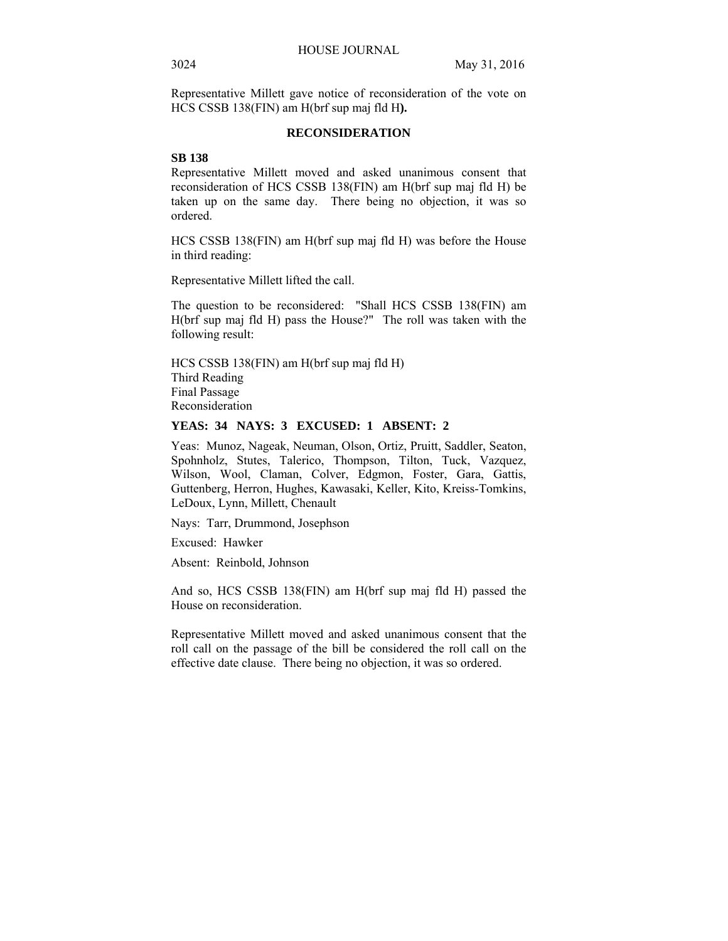Representative Millett gave notice of reconsideration of the vote on HCS CSSB 138(FIN) am H(brf sup maj fld H**).** 

## **RECONSIDERATION**

## **SB 138**

Representative Millett moved and asked unanimous consent that reconsideration of HCS CSSB 138(FIN) am H(brf sup maj fld H) be taken up on the same day. There being no objection, it was so ordered.

HCS CSSB 138(FIN) am H(brf sup maj fld H) was before the House in third reading:

Representative Millett lifted the call.

The question to be reconsidered: "Shall HCS CSSB 138(FIN) am H(brf sup maj fld H) pass the House?" The roll was taken with the following result:

HCS CSSB 138(FIN) am H(brf sup maj fld H) Third Reading Final Passage Reconsideration

# **YEAS: 34 NAYS: 3 EXCUSED: 1 ABSENT: 2**

Yeas: Munoz, Nageak, Neuman, Olson, Ortiz, Pruitt, Saddler, Seaton, Spohnholz, Stutes, Talerico, Thompson, Tilton, Tuck, Vazquez, Wilson, Wool, Claman, Colver, Edgmon, Foster, Gara, Gattis, Guttenberg, Herron, Hughes, Kawasaki, Keller, Kito, Kreiss-Tomkins, LeDoux, Lynn, Millett, Chenault

Nays: Tarr, Drummond, Josephson

Excused: Hawker

Absent: Reinbold, Johnson

And so, HCS CSSB 138(FIN) am H(brf sup maj fld H) passed the House on reconsideration.

Representative Millett moved and asked unanimous consent that the roll call on the passage of the bill be considered the roll call on the effective date clause. There being no objection, it was so ordered.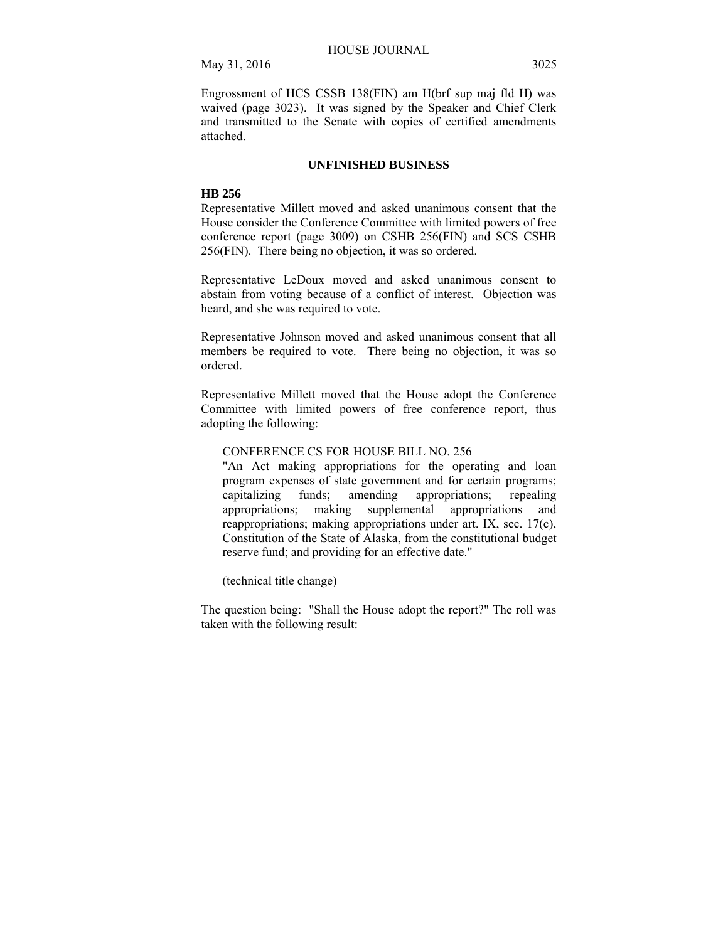# **UNFINISHED BUSINESS**

#### **HB 256**

Representative Millett moved and asked unanimous consent that the House consider the Conference Committee with limited powers of free conference report (page 3009) on CSHB 256(FIN) and SCS CSHB 256(FIN). There being no objection, it was so ordered.

Representative LeDoux moved and asked unanimous consent to abstain from voting because of a conflict of interest. Objection was heard, and she was required to vote.

Representative Johnson moved and asked unanimous consent that all members be required to vote. There being no objection, it was so ordered.

Representative Millett moved that the House adopt the Conference Committee with limited powers of free conference report, thus adopting the following:

# CONFERENCE CS FOR HOUSE BILL NO. 256

"An Act making appropriations for the operating and loan program expenses of state government and for certain programs; capitalizing funds; amending appropriations; repealing appropriations; making supplemental appropriations and reappropriations; making appropriations under art. IX, sec. 17(c), Constitution of the State of Alaska, from the constitutional budget reserve fund; and providing for an effective date."

(technical title change)

The question being: "Shall the House adopt the report?" The roll was taken with the following result: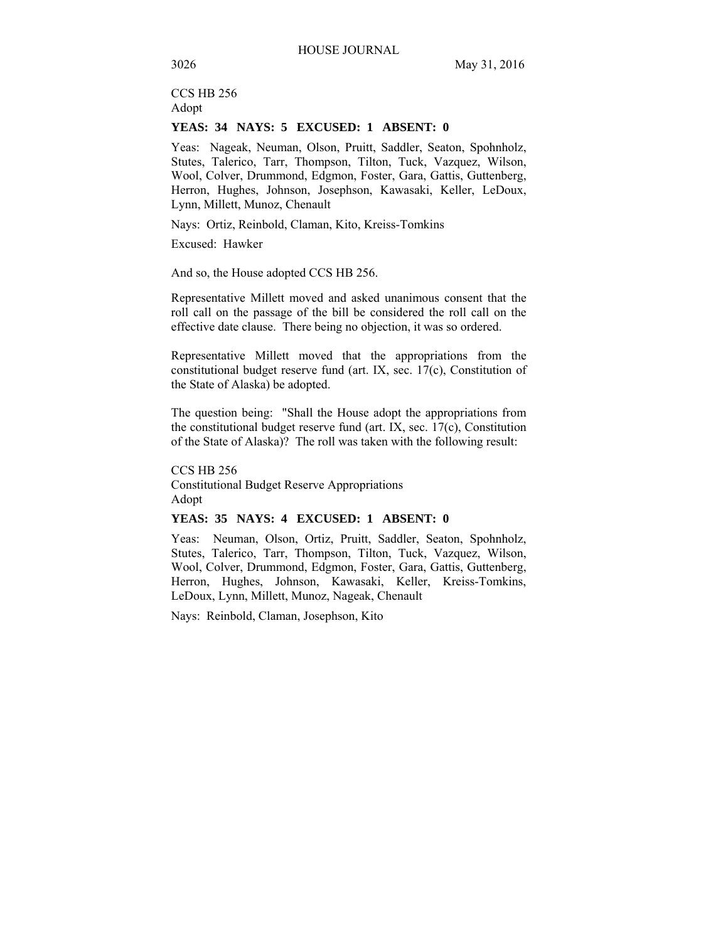CCS HB 256 Adopt

# **YEAS: 34 NAYS: 5 EXCUSED: 1 ABSENT: 0**

Yeas: Nageak, Neuman, Olson, Pruitt, Saddler, Seaton, Spohnholz, Stutes, Talerico, Tarr, Thompson, Tilton, Tuck, Vazquez, Wilson, Wool, Colver, Drummond, Edgmon, Foster, Gara, Gattis, Guttenberg, Herron, Hughes, Johnson, Josephson, Kawasaki, Keller, LeDoux, Lynn, Millett, Munoz, Chenault

Nays: Ortiz, Reinbold, Claman, Kito, Kreiss-Tomkins

Excused: Hawker

And so, the House adopted CCS HB 256.

Representative Millett moved and asked unanimous consent that the roll call on the passage of the bill be considered the roll call on the effective date clause. There being no objection, it was so ordered.

Representative Millett moved that the appropriations from the constitutional budget reserve fund (art. IX, sec. 17(c), Constitution of the State of Alaska) be adopted.

The question being: "Shall the House adopt the appropriations from the constitutional budget reserve fund (art. IX, sec. 17(c), Constitution of the State of Alaska)? The roll was taken with the following result:

CCS HB 256 Constitutional Budget Reserve Appropriations Adopt

# **YEAS: 35 NAYS: 4 EXCUSED: 1 ABSENT: 0**

Yeas: Neuman, Olson, Ortiz, Pruitt, Saddler, Seaton, Spohnholz, Stutes, Talerico, Tarr, Thompson, Tilton, Tuck, Vazquez, Wilson, Wool, Colver, Drummond, Edgmon, Foster, Gara, Gattis, Guttenberg, Herron, Hughes, Johnson, Kawasaki, Keller, Kreiss-Tomkins, LeDoux, Lynn, Millett, Munoz, Nageak, Chenault

Nays: Reinbold, Claman, Josephson, Kito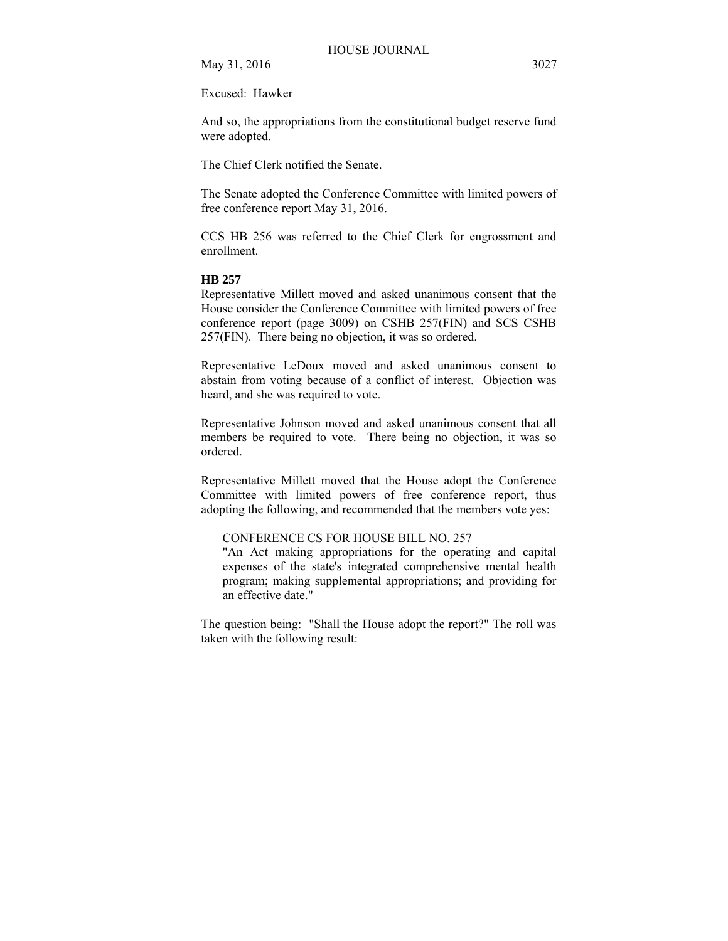Excused: Hawker

And so, the appropriations from the constitutional budget reserve fund were adopted.

The Chief Clerk notified the Senate.

The Senate adopted the Conference Committee with limited powers of free conference report May 31, 2016.

CCS HB 256 was referred to the Chief Clerk for engrossment and enrollment.

#### **HB 257**

Representative Millett moved and asked unanimous consent that the House consider the Conference Committee with limited powers of free conference report (page 3009) on CSHB 257(FIN) and SCS CSHB 257(FIN). There being no objection, it was so ordered.

Representative LeDoux moved and asked unanimous consent to abstain from voting because of a conflict of interest. Objection was heard, and she was required to vote.

Representative Johnson moved and asked unanimous consent that all members be required to vote. There being no objection, it was so ordered.

Representative Millett moved that the House adopt the Conference Committee with limited powers of free conference report, thus adopting the following, and recommended that the members vote yes:

# CONFERENCE CS FOR HOUSE BILL NO. 257

"An Act making appropriations for the operating and capital expenses of the state's integrated comprehensive mental health program; making supplemental appropriations; and providing for an effective date."

The question being: "Shall the House adopt the report?" The roll was taken with the following result: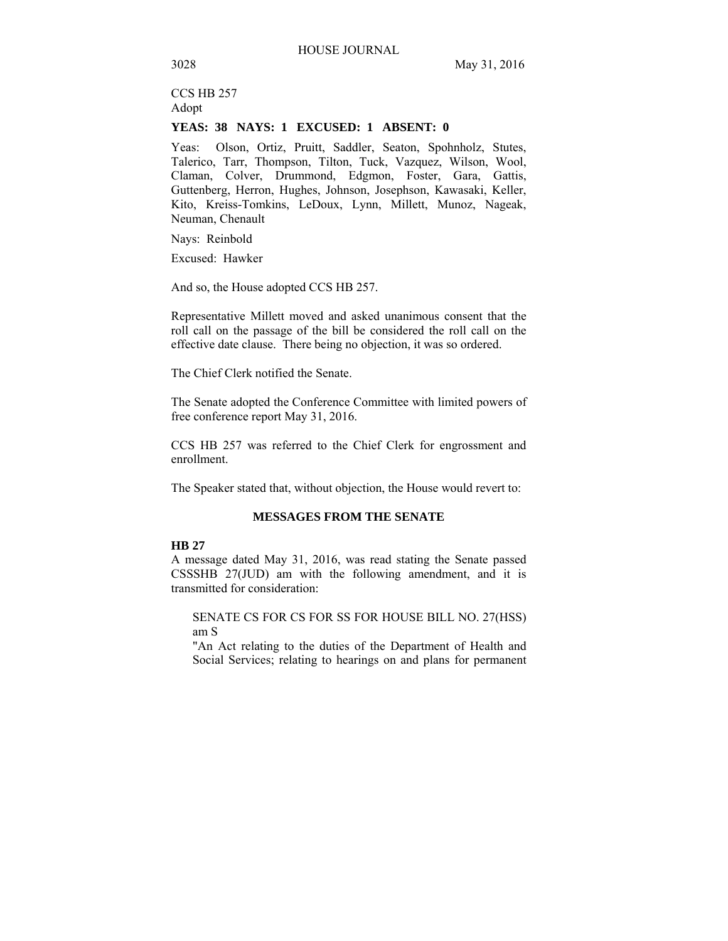CCS HB 257 Adopt

# **YEAS: 38 NAYS: 1 EXCUSED: 1 ABSENT: 0**

Yeas: Olson, Ortiz, Pruitt, Saddler, Seaton, Spohnholz, Stutes, Talerico, Tarr, Thompson, Tilton, Tuck, Vazquez, Wilson, Wool, Claman, Colver, Drummond, Edgmon, Foster, Gara, Gattis, Guttenberg, Herron, Hughes, Johnson, Josephson, Kawasaki, Keller, Kito, Kreiss-Tomkins, LeDoux, Lynn, Millett, Munoz, Nageak, Neuman, Chenault

Nays: Reinbold

Excused: Hawker

And so, the House adopted CCS HB 257.

Representative Millett moved and asked unanimous consent that the roll call on the passage of the bill be considered the roll call on the effective date clause. There being no objection, it was so ordered.

The Chief Clerk notified the Senate.

The Senate adopted the Conference Committee with limited powers of free conference report May 31, 2016.

CCS HB 257 was referred to the Chief Clerk for engrossment and enrollment.

The Speaker stated that, without objection, the House would revert to:

# **MESSAGES FROM THE SENATE**

# **HB 27**

A message dated May 31, 2016, was read stating the Senate passed CSSSHB 27(JUD) am with the following amendment, and it is transmitted for consideration:

SENATE CS FOR CS FOR SS FOR HOUSE BILL NO. 27(HSS) am S

"An Act relating to the duties of the Department of Health and Social Services; relating to hearings on and plans for permanent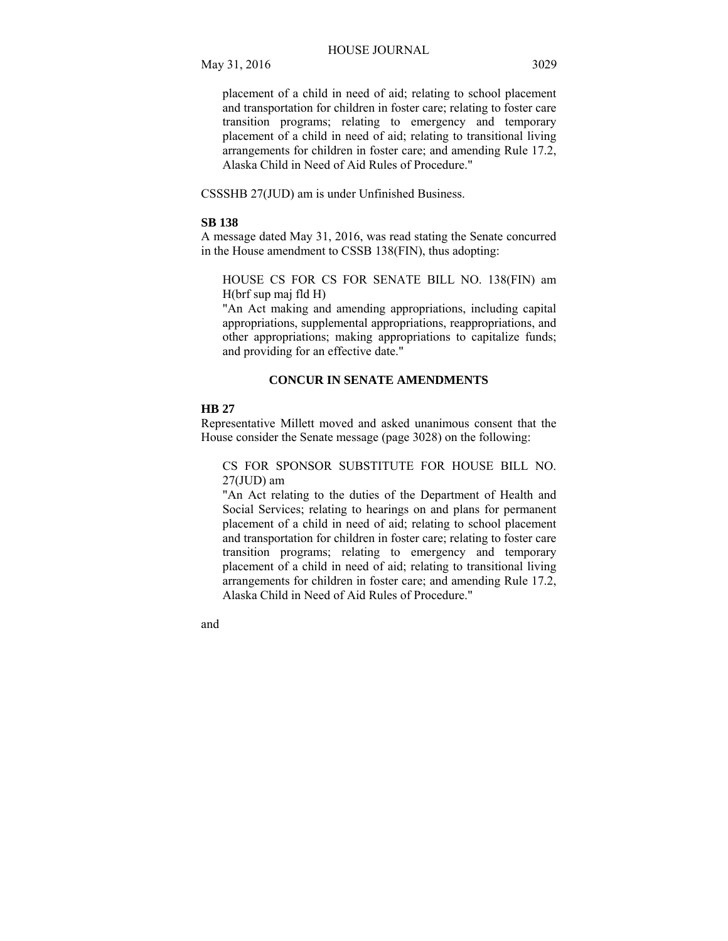placement of a child in need of aid; relating to school placement and transportation for children in foster care; relating to foster care transition programs; relating to emergency and temporary placement of a child in need of aid; relating to transitional living arrangements for children in foster care; and amending Rule 17.2, Alaska Child in Need of Aid Rules of Procedure."

CSSSHB 27(JUD) am is under Unfinished Business.

## **SB 138**

A message dated May 31, 2016, was read stating the Senate concurred in the House amendment to CSSB 138(FIN), thus adopting:

HOUSE CS FOR CS FOR SENATE BILL NO. 138(FIN) am H(brf sup maj fld H)

"An Act making and amending appropriations, including capital appropriations, supplemental appropriations, reappropriations, and other appropriations; making appropriations to capitalize funds; and providing for an effective date."

## **CONCUR IN SENATE AMENDMENTS**

#### **HB 27**

Representative Millett moved and asked unanimous consent that the House consider the Senate message (page 3028) on the following:

CS FOR SPONSOR SUBSTITUTE FOR HOUSE BILL NO.  $27$ (JUD) am

"An Act relating to the duties of the Department of Health and Social Services; relating to hearings on and plans for permanent placement of a child in need of aid; relating to school placement and transportation for children in foster care; relating to foster care transition programs; relating to emergency and temporary placement of a child in need of aid; relating to transitional living arrangements for children in foster care; and amending Rule 17.2, Alaska Child in Need of Aid Rules of Procedure."

and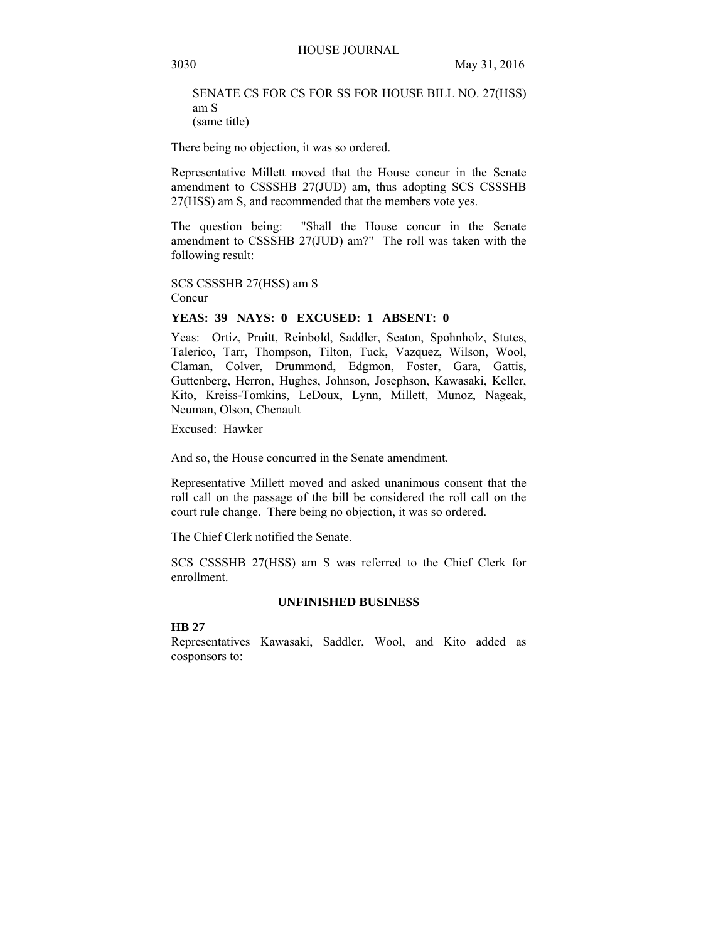SENATE CS FOR CS FOR SS FOR HOUSE BILL NO. 27(HSS) am S (same title)

There being no objection, it was so ordered.

Representative Millett moved that the House concur in the Senate amendment to CSSSHB 27(JUD) am, thus adopting SCS CSSSHB 27(HSS) am S, and recommended that the members vote yes.

The question being: "Shall the House concur in the Senate amendment to CSSSHB 27(JUD) am?" The roll was taken with the following result:

SCS CSSSHB 27(HSS) am S Concur

#### **YEAS: 39 NAYS: 0 EXCUSED: 1 ABSENT: 0**

Yeas: Ortiz, Pruitt, Reinbold, Saddler, Seaton, Spohnholz, Stutes, Talerico, Tarr, Thompson, Tilton, Tuck, Vazquez, Wilson, Wool, Claman, Colver, Drummond, Edgmon, Foster, Gara, Gattis, Guttenberg, Herron, Hughes, Johnson, Josephson, Kawasaki, Keller, Kito, Kreiss-Tomkins, LeDoux, Lynn, Millett, Munoz, Nageak, Neuman, Olson, Chenault

Excused: Hawker

And so, the House concurred in the Senate amendment.

Representative Millett moved and asked unanimous consent that the roll call on the passage of the bill be considered the roll call on the court rule change. There being no objection, it was so ordered.

The Chief Clerk notified the Senate.

SCS CSSSHB 27(HSS) am S was referred to the Chief Clerk for enrollment.

## **UNFINISHED BUSINESS**

#### **HB 27**

Representatives Kawasaki, Saddler, Wool, and Kito added as cosponsors to: